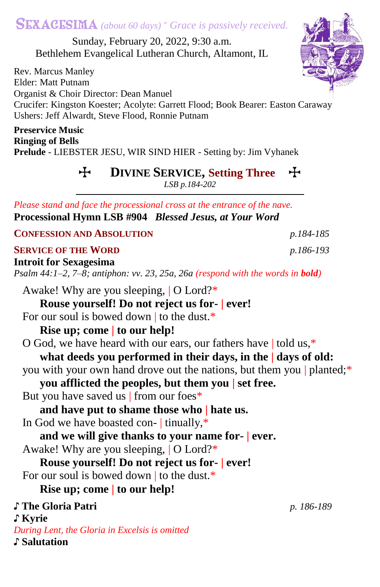# SEXAGESIMA *(about 60 days) - Grace is passively received.*

Sunday, February 20, 2022, 9:30 a.m. Bethlehem Evangelical Lutheran Church, Altamont, IL

Rev. Marcus Manley Elder: Matt Putnam Organist & Choir Director: Dean Manuel Crucifer: Kingston Koester; Acolyte: Garrett Flood; Book Bearer: Easton Caraway Ushers: Jeff Alwardt, Steve Flood, Ronnie Putnam

**Preservice Music Ringing of Bells Prelude** - LIEBSTER JESU, WIR SIND HIER - Setting by: Jim Vyhanek

> T **DIVINE SERVICE, Setting Three** T *LSB p.184-202*

*Please stand and face the processional cross at the entrance of the nave.* **Processional Hymn LSB #904** *Blessed Jesus, at Your Word*

**CONFESSION AND ABSOLUTION** *p.184-185*

#### **SERVICE OF THE WORD** *p.186-193*

**Introit for Sexagesima** *Psalm 44:1–2, 7–8; antiphon: vv. 23, 25a, 26a (respond with the words in bold)* Awake! Why are you sleeping, | O Lord?\* **Rouse yourself! Do not reject us for- | ever!** For our soul is bowed down to the dust.\* **Rise up; come | to our help!** O God, we have heard with our ears, our fathers have | told us,\* **what deeds you performed in their days, in the | days of old:** you with your own hand drove out the nations, but them you | planted;\* **you afflicted the peoples, but them you | set free.** But you have saved us | from our foes\* **and have put to shame those who | hate us.** In God we have boasted con- | tinually,\* **and we will give thanks to your name for- | ever.** Awake! Why are you sleeping, | O Lord?\* **Rouse yourself! Do not reject us for- | ever!** For our soul is bowed down to the dust.\* **Rise up; come | to our help!** ♪ **The Gloria Patri** *p. 186-189* ♪ **Kyrie** *During Lent, the Gloria in Excelsis is omitted*

♪ **Salutation**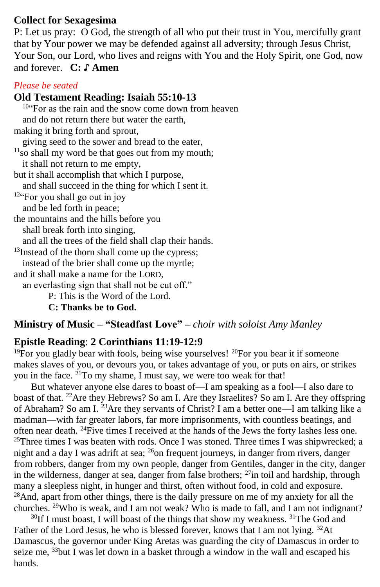#### **Collect for Sexagesima**

P: Let us pray: O God, the strength of all who put their trust in You, mercifully grant that by Your power we may be defended against all adversity; through Jesus Christ, Your Son, our Lord, who lives and reigns with You and the Holy Spirit, one God, now and forever. **C: ♪ Amen**

#### *Please be seated*

#### **Old Testament Reading: Isaiah 55:10-13**

 $10^{10}$  For as the rain and the snow come down from heaven and do not return there but water the earth, making it bring forth and sprout, giving seed to the sower and bread to the eater,  $11$ so shall my word be that goes out from my mouth; it shall not return to me empty, but it shall accomplish that which I purpose, and shall succeed in the thing for which I sent it.  $12^{12}$  For you shall go out in joy and be led forth in peace; the mountains and the hills before you shall break forth into singing, and all the trees of the field shall clap their hands. <sup>13</sup>Instead of the thorn shall come up the cypress; instead of the brier shall come up the myrtle; and it shall make a name for the LORD, an everlasting sign that shall not be cut off." P: This is the Word of the Lord. **C: Thanks be to God.**

### **Ministry of Music – "Steadfast Love" –** *choir with soloist Amy Manley*

### **Epistle Reading**: **2 Corinthians 11:19-12:9**

 $19$ For you gladly bear with fools, being wise yourselves!  $20$ For you bear it if someone makes slaves of you, or devours you, or takes advantage of you, or puts on airs, or strikes you in the face. <sup>21</sup>To my shame, I must say, we were too weak for that!

But whatever anyone else dares to boast of—I am speaking as a fool—I also dare to boast of that. <sup>22</sup>Are they Hebrews? So am I. Are they Israelites? So am I. Are they offspring of Abraham? So am I. <sup>23</sup>Are they servants of Christ? I am a better one—I am talking like a madman—with far greater labors, far more imprisonments, with countless beatings, and often near death. <sup>24</sup>Five times I received at the hands of the Jews the forty lashes less one.  $25$ Three times I was beaten with rods. Once I was stoned. Three times I was shipwrecked; a night and a day I was adrift at sea; <sup>26</sup>on frequent journeys, in danger from rivers, danger from robbers, danger from my own people, danger from Gentiles, danger in the city, danger in the wilderness, danger at sea, danger from false brothers;  $^{27}$ in toil and hardship, through many a sleepless night, in hunger and thirst, often without food, in cold and exposure. <sup>28</sup>And, apart from other things, there is the daily pressure on me of my anxiety for all the churches. <sup>29</sup>Who is weak, and I am not weak? Who is made to fall, and I am not indignant?

 $30$ If I must boast, I will boast of the things that show my weakness.  $31$ The God and Father of the Lord Jesus, he who is blessed forever, knows that I am not lying. <sup>32</sup>At Damascus, the governor under King Aretas was guarding the city of Damascus in order to seize me, <sup>33</sup>but I was let down in a basket through a window in the wall and escaped his hands.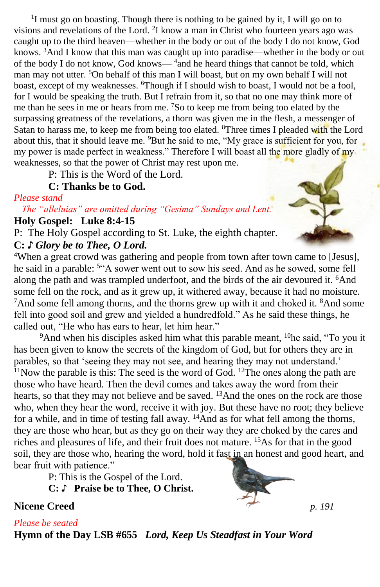<sup>1</sup>I must go on boasting. Though there is nothing to be gained by it, I will go on to visions and revelations of the Lord. <sup>2</sup>I know a man in Christ who fourteen years ago was caught up to the third heaven—whether in the body or out of the body I do not know, God knows.  $3\overline{A}$  and I know that this man was caught up into paradise—whether in the body or out of the body I do not know, God knows—<sup>4</sup> and he heard things that cannot be told, which man may not utter. <sup>5</sup>On behalf of this man I will boast, but on my own behalf I will not boast, except of my weaknesses. <sup>6</sup>Though if I should wish to boast, I would not be a fool, for I would be speaking the truth. But I refrain from it, so that no one may think more of me than he sees in me or hears from me. <sup>7</sup>So to keep me from being too elated by the surpassing greatness of the revelations, a thorn was given me in the flesh, a messenger of Satan to harass me, to keep me from being too elated. <sup>8</sup>Three times I pleaded with the Lord about this, that it should leave me. <sup>9</sup>But he said to me, "My grace is sufficient for you, for my power is made perfect in weakness." Therefore I will boast all the more gladly of my weaknesses, so that the power of Christ may rest upon me.

P: This is the Word of the Lord.

#### **C: Thanks be to God.**

#### *Please stand*

*The "alleluias" are omitted during "Gesima" Sundays and Lent.* **Holy Gospel: Luke 8:4-15**

P: The Holy Gospel according to St. Luke, the eighth chapter. **C:** *♪ Glory be to Thee, O Lord.*

<sup>4</sup>When a great crowd was gathering and people from town after town came to [Jesus], he said in a parable: <sup>5</sup>"A sower went out to sow his seed. And as he sowed, some fell along the path and was trampled underfoot, and the birds of the air devoured it. <sup>6</sup>And some fell on the rock, and as it grew up, it withered away, because it had no moisture. <sup>7</sup>And some fell among thorns, and the thorns grew up with it and choked it. <sup>8</sup>And some fell into good soil and grew and yielded a hundredfold." As he said these things, he called out, "He who has ears to hear, let him hear."

 $9^9$ And when his disciples asked him what this parable meant,  $10$ he said, "To you it has been given to know the secrets of the kingdom of God, but for others they are in parables, so that 'seeing they may not see, and hearing they may not understand.'  $11$ Now the parable is this: The seed is the word of God.  $12$ The ones along the path are those who have heard. Then the devil comes and takes away the word from their hearts, so that they may not believe and be saved. <sup>13</sup>And the ones on the rock are those who, when they hear the word, receive it with joy. But these have no root; they believe for a while, and in time of testing fall away.  $\frac{14}{4}$ And as for what fell among the thorns, they are those who hear, but as they go on their way they are choked by the cares and riches and pleasures of life, and their fruit does not mature. <sup>15</sup>As for that in the good soil, they are those who, hearing the word, hold it fast in an honest and good heart, and bear fruit with patience."

P: This is the Gospel of the Lord.

**C:** ♪ **Praise be to Thee, O Christ.**

**Nicene Creed** *p. 191* 

*Please be seated*

**Hymn of the Day LSB #655** *Lord, Keep Us Steadfast in Your Word*